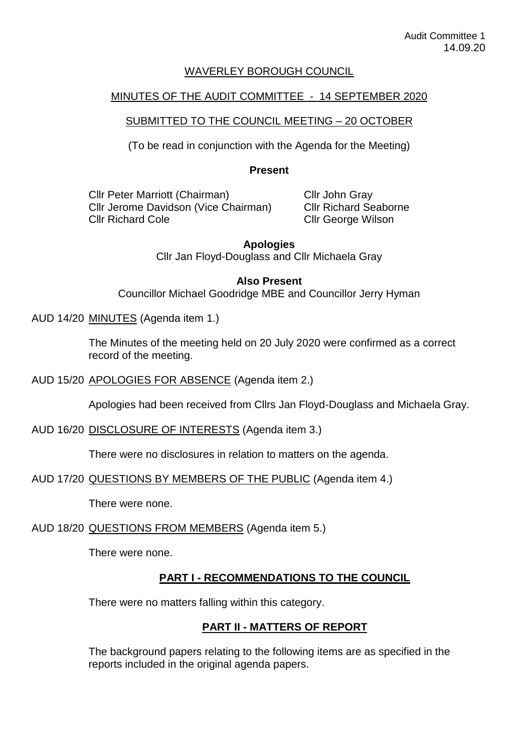#### WAVERLEY BOROUGH COUNCIL

#### MINUTES OF THE AUDIT COMMITTEE - 14 SEPTEMBER 2020

### SUBMITTED TO THE COUNCIL MEETING – 20 OCTOBER

(To be read in conjunction with the Agenda for the Meeting)

#### **Present**

Cllr Peter Marriott (Chairman) Cllr Jerome Davidson (Vice Chairman) Cllr Richard Cole

Cllr John Gray Cllr Richard Seaborne Cllr George Wilson

**Apologies**  Cllr Jan Floyd-Douglass and Cllr Michaela Gray

#### **Also Present**

Councillor Michael Goodridge MBE and Councillor Jerry Hyman

#### AUD 14/20 MINUTES (Agenda item 1.)

The Minutes of the meeting held on 20 July 2020 were confirmed as a correct record of the meeting.

#### AUD 15/20 APOLOGIES FOR ABSENCE (Agenda item 2.)

Apologies had been received from Cllrs Jan Floyd-Douglass and Michaela Gray.

#### AUD 16/20 DISCLOSURE OF INTERESTS (Agenda item 3.)

There were no disclosures in relation to matters on the agenda.

#### AUD 17/20 QUESTIONS BY MEMBERS OF THE PUBLIC (Agenda item 4.)

There were none.

# AUD 18/20 QUESTIONS FROM MEMBERS (Agenda item 5.)

There were none.

# **PART I - RECOMMENDATIONS TO THE COUNCIL**

There were no matters falling within this category.

# **PART II - MATTERS OF REPORT**

The background papers relating to the following items are as specified in the reports included in the original agenda papers.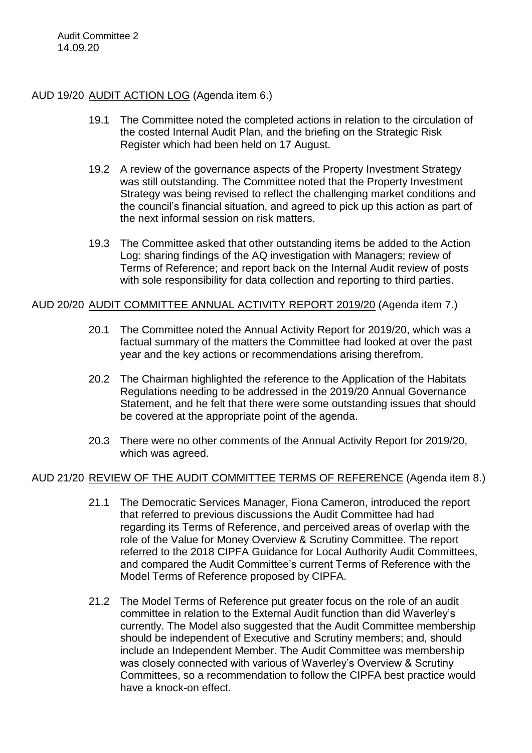### AUD 19/20 AUDIT ACTION LOG (Agenda item 6.)

- 19.1 The Committee noted the completed actions in relation to the circulation of the costed Internal Audit Plan, and the briefing on the Strategic Risk Register which had been held on 17 August.
- 19.2 A review of the governance aspects of the Property Investment Strategy was still outstanding. The Committee noted that the Property Investment Strategy was being revised to reflect the challenging market conditions and the council's financial situation, and agreed to pick up this action as part of the next informal session on risk matters.
- 19.3 The Committee asked that other outstanding items be added to the Action Log: sharing findings of the AQ investigation with Managers; review of Terms of Reference; and report back on the Internal Audit review of posts with sole responsibility for data collection and reporting to third parties.

## AUD 20/20 AUDIT COMMITTEE ANNUAL ACTIVITY REPORT 2019/20 (Agenda item 7.)

- 20.1 The Committee noted the Annual Activity Report for 2019/20, which was a factual summary of the matters the Committee had looked at over the past year and the key actions or recommendations arising therefrom.
- 20.2 The Chairman highlighted the reference to the Application of the Habitats Regulations needing to be addressed in the 2019/20 Annual Governance Statement, and he felt that there were some outstanding issues that should be covered at the appropriate point of the agenda.
- 20.3 There were no other comments of the Annual Activity Report for 2019/20, which was agreed.

# AUD 21/20 REVIEW OF THE AUDIT COMMITTEE TERMS OF REFERENCE (Agenda item 8.)

- 21.1 The Democratic Services Manager, Fiona Cameron, introduced the report that referred to previous discussions the Audit Committee had had regarding its Terms of Reference, and perceived areas of overlap with the role of the Value for Money Overview & Scrutiny Committee. The report referred to the 2018 CIPFA Guidance for Local Authority Audit Committees, and compared the Audit Committee's current Terms of Reference with the Model Terms of Reference proposed by CIPFA.
- 21.2 The Model Terms of Reference put greater focus on the role of an audit committee in relation to the External Audit function than did Waverley's currently. The Model also suggested that the Audit Committee membership should be independent of Executive and Scrutiny members; and, should include an Independent Member. The Audit Committee was membership was closely connected with various of Waverley's Overview & Scrutiny Committees, so a recommendation to follow the CIPFA best practice would have a knock-on effect.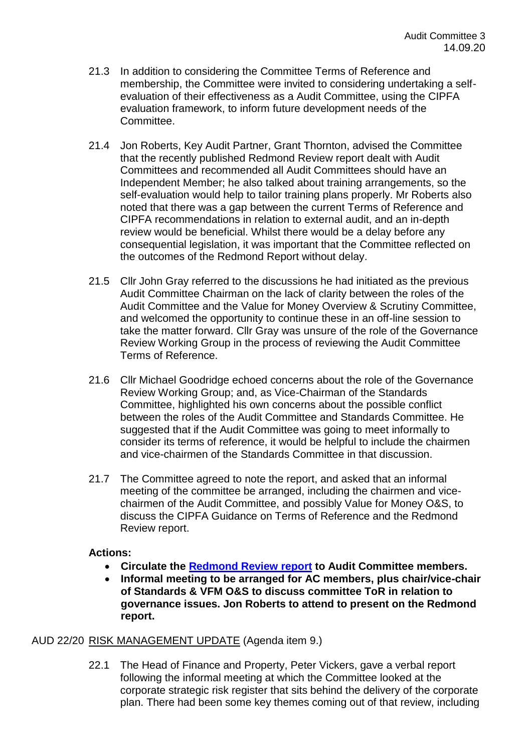- 21.3 In addition to considering the Committee Terms of Reference and membership, the Committee were invited to considering undertaking a selfevaluation of their effectiveness as a Audit Committee, using the CIPFA evaluation framework, to inform future development needs of the Committee.
- 21.4 Jon Roberts, Key Audit Partner, Grant Thornton, advised the Committee that the recently published Redmond Review report dealt with Audit Committees and recommended all Audit Committees should have an Independent Member; he also talked about training arrangements, so the self-evaluation would help to tailor training plans properly. Mr Roberts also noted that there was a gap between the current Terms of Reference and CIPFA recommendations in relation to external audit, and an in-depth review would be beneficial. Whilst there would be a delay before any consequential legislation, it was important that the Committee reflected on the outcomes of the Redmond Report without delay.
- 21.5 Cllr John Gray referred to the discussions he had initiated as the previous Audit Committee Chairman on the lack of clarity between the roles of the Audit Committee and the Value for Money Overview & Scrutiny Committee, and welcomed the opportunity to continue these in an off-line session to take the matter forward. Cllr Gray was unsure of the role of the Governance Review Working Group in the process of reviewing the Audit Committee Terms of Reference.
- 21.6 Cllr Michael Goodridge echoed concerns about the role of the Governance Review Working Group; and, as Vice-Chairman of the Standards Committee, highlighted his own concerns about the possible conflict between the roles of the Audit Committee and Standards Committee. He suggested that if the Audit Committee was going to meet informally to consider its terms of reference, it would be helpful to include the chairmen and vice-chairmen of the Standards Committee in that discussion.
- 21.7 The Committee agreed to note the report, and asked that an informal meeting of the committee be arranged, including the chairmen and vicechairmen of the Audit Committee, and possibly Value for Money O&S, to discuss the CIPFA Guidance on Terms of Reference and the Redmond Review report.

# **Actions:**

- **Circulate the [Redmond Review report](https://www.gov.uk/government/publications/local-authority-financial-reporting-and-external-audit-independent-review) to Audit Committee members.**
- **Informal meeting to be arranged for AC members, plus chair/vice-chair of Standards & VFM O&S to discuss committee ToR in relation to governance issues. Jon Roberts to attend to present on the Redmond report.**

# AUD 22/20 RISK MANAGEMENT UPDATE (Agenda item 9.)

22.1 The Head of Finance and Property, Peter Vickers, gave a verbal report following the informal meeting at which the Committee looked at the corporate strategic risk register that sits behind the delivery of the corporate plan. There had been some key themes coming out of that review, including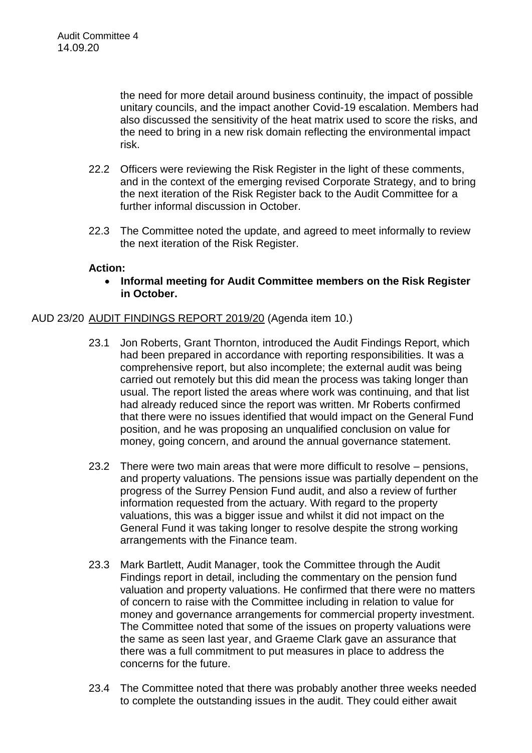the need for more detail around business continuity, the impact of possible unitary councils, and the impact another Covid-19 escalation. Members had also discussed the sensitivity of the heat matrix used to score the risks, and the need to bring in a new risk domain reflecting the environmental impact risk.

- 22.2 Officers were reviewing the Risk Register in the light of these comments, and in the context of the emerging revised Corporate Strategy, and to bring the next iteration of the Risk Register back to the Audit Committee for a further informal discussion in October.
- 22.3 The Committee noted the update, and agreed to meet informally to review the next iteration of the Risk Register.

### **Action:**

 **Informal meeting for Audit Committee members on the Risk Register in October.** 

### AUD 23/20 AUDIT FINDINGS REPORT 2019/20 (Agenda item 10.)

- 23.1 Jon Roberts, Grant Thornton, introduced the Audit Findings Report, which had been prepared in accordance with reporting responsibilities. It was a comprehensive report, but also incomplete; the external audit was being carried out remotely but this did mean the process was taking longer than usual. The report listed the areas where work was continuing, and that list had already reduced since the report was written. Mr Roberts confirmed that there were no issues identified that would impact on the General Fund position, and he was proposing an unqualified conclusion on value for money, going concern, and around the annual governance statement.
- 23.2 There were two main areas that were more difficult to resolve pensions, and property valuations. The pensions issue was partially dependent on the progress of the Surrey Pension Fund audit, and also a review of further information requested from the actuary. With regard to the property valuations, this was a bigger issue and whilst it did not impact on the General Fund it was taking longer to resolve despite the strong working arrangements with the Finance team.
- 23.3 Mark Bartlett, Audit Manager, took the Committee through the Audit Findings report in detail, including the commentary on the pension fund valuation and property valuations. He confirmed that there were no matters of concern to raise with the Committee including in relation to value for money and governance arrangements for commercial property investment. The Committee noted that some of the issues on property valuations were the same as seen last year, and Graeme Clark gave an assurance that there was a full commitment to put measures in place to address the concerns for the future.
- 23.4 The Committee noted that there was probably another three weeks needed to complete the outstanding issues in the audit. They could either await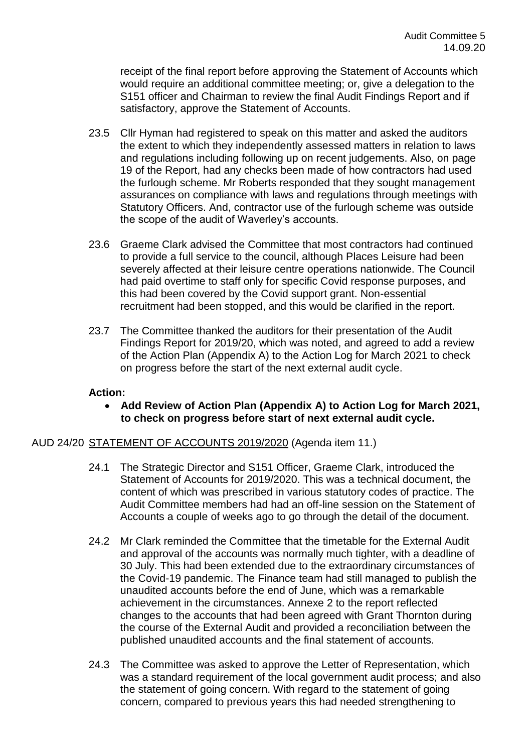receipt of the final report before approving the Statement of Accounts which would require an additional committee meeting; or, give a delegation to the S151 officer and Chairman to review the final Audit Findings Report and if satisfactory, approve the Statement of Accounts.

- 23.5 Cllr Hyman had registered to speak on this matter and asked the auditors the extent to which they independently assessed matters in relation to laws and regulations including following up on recent judgements. Also, on page 19 of the Report, had any checks been made of how contractors had used the furlough scheme. Mr Roberts responded that they sought management assurances on compliance with laws and regulations through meetings with Statutory Officers. And, contractor use of the furlough scheme was outside the scope of the audit of Waverley's accounts.
- 23.6 Graeme Clark advised the Committee that most contractors had continued to provide a full service to the council, although Places Leisure had been severely affected at their leisure centre operations nationwide. The Council had paid overtime to staff only for specific Covid response purposes, and this had been covered by the Covid support grant. Non-essential recruitment had been stopped, and this would be clarified in the report.
- 23.7 The Committee thanked the auditors for their presentation of the Audit Findings Report for 2019/20, which was noted, and agreed to add a review of the Action Plan (Appendix A) to the Action Log for March 2021 to check on progress before the start of the next external audit cycle.

### **Action:**

 **Add Review of Action Plan (Appendix A) to Action Log for March 2021, to check on progress before start of next external audit cycle.** 

### AUD 24/20 STATEMENT OF ACCOUNTS 2019/2020 (Agenda item 11.)

- 24.1 The Strategic Director and S151 Officer, Graeme Clark, introduced the Statement of Accounts for 2019/2020. This was a technical document, the content of which was prescribed in various statutory codes of practice. The Audit Committee members had had an off-line session on the Statement of Accounts a couple of weeks ago to go through the detail of the document.
- 24.2 Mr Clark reminded the Committee that the timetable for the External Audit and approval of the accounts was normally much tighter, with a deadline of 30 July. This had been extended due to the extraordinary circumstances of the Covid-19 pandemic. The Finance team had still managed to publish the unaudited accounts before the end of June, which was a remarkable achievement in the circumstances. Annexe 2 to the report reflected changes to the accounts that had been agreed with Grant Thornton during the course of the External Audit and provided a reconciliation between the published unaudited accounts and the final statement of accounts.
- 24.3 The Committee was asked to approve the Letter of Representation, which was a standard requirement of the local government audit process; and also the statement of going concern. With regard to the statement of going concern, compared to previous years this had needed strengthening to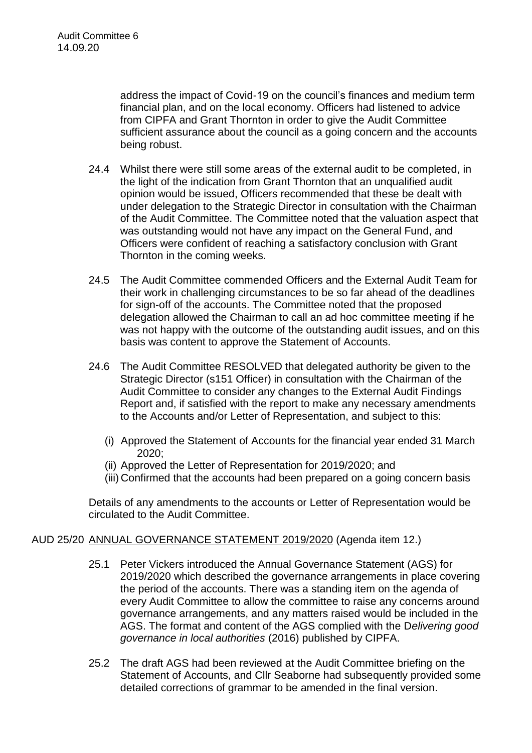address the impact of Covid-19 on the council's finances and medium term financial plan, and on the local economy. Officers had listened to advice from CIPFA and Grant Thornton in order to give the Audit Committee sufficient assurance about the council as a going concern and the accounts being robust.

- 24.4 Whilst there were still some areas of the external audit to be completed, in the light of the indication from Grant Thornton that an unqualified audit opinion would be issued, Officers recommended that these be dealt with under delegation to the Strategic Director in consultation with the Chairman of the Audit Committee. The Committee noted that the valuation aspect that was outstanding would not have any impact on the General Fund, and Officers were confident of reaching a satisfactory conclusion with Grant Thornton in the coming weeks.
- 24.5 The Audit Committee commended Officers and the External Audit Team for their work in challenging circumstances to be so far ahead of the deadlines for sign-off of the accounts. The Committee noted that the proposed delegation allowed the Chairman to call an ad hoc committee meeting if he was not happy with the outcome of the outstanding audit issues, and on this basis was content to approve the Statement of Accounts.
- 24.6 The Audit Committee RESOLVED that delegated authority be given to the Strategic Director (s151 Officer) in consultation with the Chairman of the Audit Committee to consider any changes to the External Audit Findings Report and, if satisfied with the report to make any necessary amendments to the Accounts and/or Letter of Representation, and subject to this:
	- (i) Approved the Statement of Accounts for the financial year ended 31 March 2020;
	- (ii) Approved the Letter of Representation for 2019/2020; and
	- (iii) Confirmed that the accounts had been prepared on a going concern basis

Details of any amendments to the accounts or Letter of Representation would be circulated to the Audit Committee.

# AUD 25/20 ANNUAL GOVERNANCE STATEMENT 2019/2020 (Agenda item 12.)

- 25.1 Peter Vickers introduced the Annual Governance Statement (AGS) for 2019/2020 which described the governance arrangements in place covering the period of the accounts. There was a standing item on the agenda of every Audit Committee to allow the committee to raise any concerns around governance arrangements, and any matters raised would be included in the AGS. The format and content of the AGS complied with the D*elivering good governance in local authorities* (2016) published by CIPFA.
- 25.2 The draft AGS had been reviewed at the Audit Committee briefing on the Statement of Accounts, and Cllr Seaborne had subsequently provided some detailed corrections of grammar to be amended in the final version.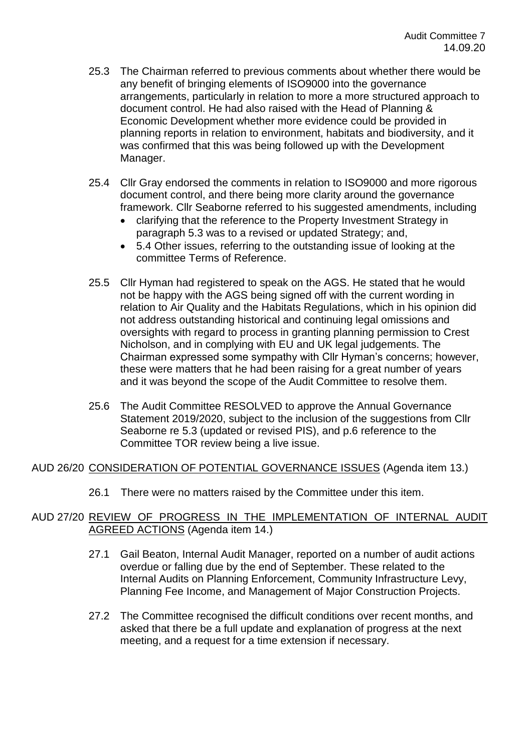- 25.3 The Chairman referred to previous comments about whether there would be any benefit of bringing elements of ISO9000 into the governance arrangements, particularly in relation to more a more structured approach to document control. He had also raised with the Head of Planning & Economic Development whether more evidence could be provided in planning reports in relation to environment, habitats and biodiversity, and it was confirmed that this was being followed up with the Development Manager.
- 25.4 Cllr Gray endorsed the comments in relation to ISO9000 and more rigorous document control, and there being more clarity around the governance framework. Cllr Seaborne referred to his suggested amendments, including
	- clarifying that the reference to the Property Investment Strategy in paragraph 5.3 was to a revised or updated Strategy; and,
	- 5.4 Other issues, referring to the outstanding issue of looking at the committee Terms of Reference.
- 25.5 Cllr Hyman had registered to speak on the AGS. He stated that he would not be happy with the AGS being signed off with the current wording in relation to Air Quality and the Habitats Regulations, which in his opinion did not address outstanding historical and continuing legal omissions and oversights with regard to process in granting planning permission to Crest Nicholson, and in complying with EU and UK legal judgements. The Chairman expressed some sympathy with Cllr Hyman's concerns; however, these were matters that he had been raising for a great number of years and it was beyond the scope of the Audit Committee to resolve them.
- 25.6 The Audit Committee RESOLVED to approve the Annual Governance Statement 2019/2020, subject to the inclusion of the suggestions from Cllr Seaborne re 5.3 (updated or revised PIS), and p.6 reference to the Committee TOR review being a live issue.

### AUD 26/20 CONSIDERATION OF POTENTIAL GOVERNANCE ISSUES (Agenda item 13.)

26.1 There were no matters raised by the Committee under this item.

## AUD 27/20 REVIEW OF PROGRESS IN THE IMPLEMENTATION OF INTERNAL AUDIT AGREED ACTIONS (Agenda item 14.)

- 27.1 Gail Beaton, Internal Audit Manager, reported on a number of audit actions overdue or falling due by the end of September. These related to the Internal Audits on Planning Enforcement, Community Infrastructure Levy, Planning Fee Income, and Management of Major Construction Projects.
- 27.2 The Committee recognised the difficult conditions over recent months, and asked that there be a full update and explanation of progress at the next meeting, and a request for a time extension if necessary.